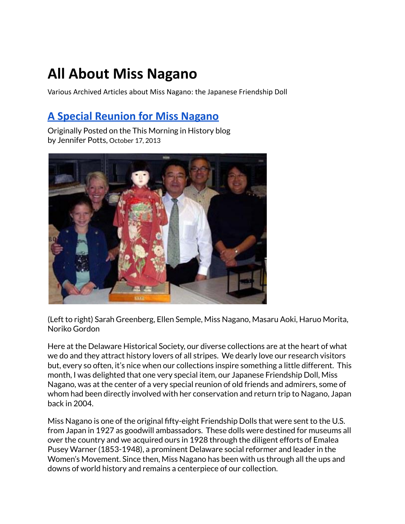# **All About Miss Nagano**

Various Archived Articles about Miss Nagano: the Japanese Friendship Doll

# **[A Special Reunion for Miss Nagano](https://web.archive.org/web/20131222054425/http://thismorningishistory.wordpress.com/2013/10/17/a-special-reunion-for-miss-nagano-7/)**

Originally Posted on the This Morning in History blog by Jennifer Potts, October 17, 2013



(Left to right) Sarah Greenberg, Ellen Semple, Miss Nagano, Masaru Aoki, Haruo Morita, Noriko Gordon

Here at the Delaware Historical Society, our diverse collections are at the heart of what we do and they attract history lovers of all stripes. We dearly love our research visitors but, every so often, it's nice when our collections inspire something a little different. This month, I was delighted that one very special item, our Japanese Friendship Doll, Miss Nagano, was at the center of a very special reunion of old friends and admirers, some of whom had been directly involved with her conservation and return trip to Nagano, Japan back in 2004.

Miss Nagano is one of the original fifty-eight Friendship Dolls that were sent to the U.S. from Japan in 1927 as goodwill ambassadors. These dolls were destined for museums all over the country and we acquired ours in 1928 through the diligent efforts of Emalea Pusey Warner (1853-1948), a prominent Delaware social reformer and leader in the Women's Movement. Since then, Miss Nagano has been with us through all the ups and downs of world history and remains a centerpiece of our collection.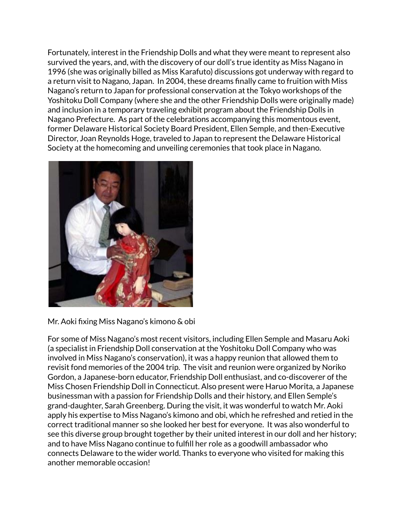Fortunately, interest in the Friendship Dolls and what they were meant to represent also survived the years, and, with the discovery of our doll's true identity as Miss Nagano in 1996 (she was originally billed as Miss Karafuto) discussions got underway with regard to a return visit to Nagano, Japan. In 2004, these dreams finally came to fruition with Miss Nagano's return to Japan for professional conservation at the Tokyo workshops of the Yoshitoku Doll Company (where she and the other Friendship Dolls were originally made) and inclusion in a temporary traveling exhibit program about the Friendship Dolls in Nagano Prefecture. As part of the celebrations accompanying this momentous event, former Delaware Historical Society Board President, Ellen Semple, and then-Executive Director, Joan Reynolds Hoge, traveled to Japan to represent the Delaware Historical Society at the homecoming and unveiling ceremonies that took place in Nagano.



Mr. Aoki fixing Miss Nagano's kimono & obi

For some of Miss Nagano's most recent visitors, including Ellen Semple and Masaru Aoki (a specialist in Friendship Doll conservation at the Yoshitoku Doll Company who was involved in Miss Nagano's conservation), it was a happy reunion that allowed them to revisit fond memories of the 2004 trip. The visit and reunion were organized by Noriko Gordon, a Japanese-born educator, Friendship Doll enthusiast, and co-discoverer of the Miss Chosen Friendship Doll in Connecticut. Also present were Haruo Morita, a Japanese businessman with a passion for Friendship Dolls and their history, and Ellen Semple's grand-daughter, Sarah Greenberg. During the visit, it was wonderful to watch Mr. Aoki apply his expertise to Miss Nagano's kimono and obi, which he refreshed and retied in the correct traditional manner so she looked her best for everyone. It was also wonderful to see this diverse group brought together by their united interest in our doll and her history; and to have Miss Nagano continue to fulfill her role as a goodwill ambassador who connects Delaware to the wider world. Thanks to everyone who visited for making this another memorable occasion!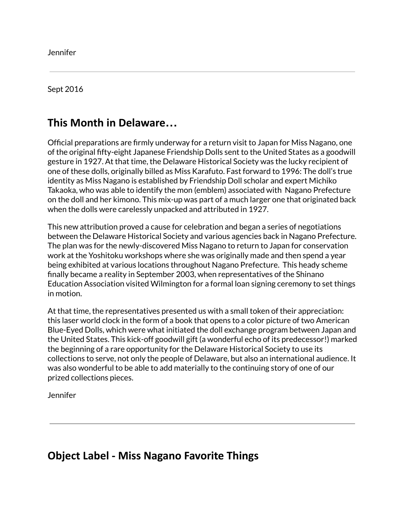Jennifer

#### Sept 2016

## **This Month in Delaware…**

Official preparations are firmly underway for a return visit to Japan for Miss Nagano, one of the original fifty-eight Japanese Friendship Dolls sent to the United States as a goodwill gesture in 1927. At that time, the Delaware Historical Society was the lucky recipient of one of these dolls, originally billed as Miss Karafuto. Fast forward to 1996: The doll's true identity as Miss Nagano is established by Friendship Doll scholar and expert Michiko Takaoka, who was able to identify the mon (emblem) associated with Nagano Prefecture on the doll and her kimono. This mix-up was part of a much larger one that originated back when the dolls were carelessly unpacked and attributed in 1927.

This new attribution proved a cause for celebration and began a series of negotiations between the Delaware Historical Society and various agencies back in Nagano Prefecture. The plan was for the newly-discovered Miss Nagano to return to Japan for conservation work at the Yoshitoku workshops where she was originally made and then spend a year being exhibited at various locations throughout Nagano Prefecture. This heady scheme finally became a reality in September 2003, when representatives of the Shinano Education Association visited Wilmington for a formal loan signing ceremony to set things in motion.

At that time, the representatives presented us with a small token of their appreciation: this laser world clock in the form of a book that opens to a color picture of two American Blue-Eyed Dolls, which were what initiated the doll exchange program between Japan and the United States. This kick-off goodwill gift (a wonderful echo of its predecessor!) marked the beginning of a rare opportunity for the Delaware Historical Society to use its collections to serve, not only the people of Delaware, but also an international audience. It was also wonderful to be able to add materially to the continuing story of one of our prized collections pieces.

Jennifer

## **Object Label - Miss Nagano Favorite Things**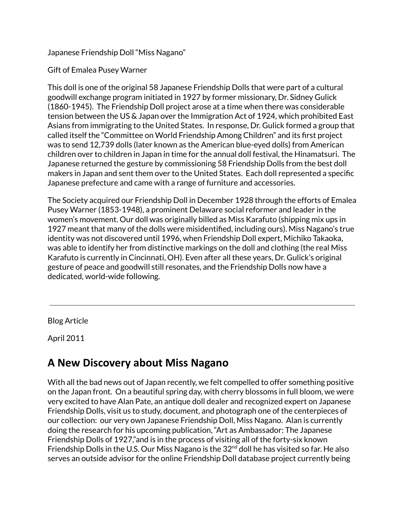Japanese Friendship Doll "Miss Nagano"

### Gift of Emalea Pusey Warner

This doll is one of the original 58 Japanese Friendship Dolls that were part of a cultural goodwill exchange program initiated in 1927 by former missionary, Dr. Sidney Gulick (1860-1945). The Friendship Doll project arose at a time when there was considerable tension between the US & Japan over the Immigration Act of 1924, which prohibited East Asians from immigrating to the United States. In response, Dr. Gulick formed a group that called itself the "Committee on World Friendship Among Children" and its first project was to send 12,739 dolls (later known as the American blue-eyed dolls) from American children over to children in Japan in time for the annual doll festival, the Hinamatsuri. The Japanese returned the gesture by commissioning 58 Friendship Dolls from the best doll makers in Japan and sent them over to the United States. Each doll represented a specific Japanese prefecture and came with a range of furniture and accessories.

The Society acquired our Friendship Doll in December 1928 through the efforts of Emalea Pusey Warner (1853-1948), a prominent Delaware social reformer and leader in the women's movement. Our doll was originally billed as Miss Karafuto (shipping mix ups in 1927 meant that many of the dolls were misidentified, including ours). Miss Nagano's true identity was not discovered until 1996, when Friendship Doll expert, Michiko Takaoka, was able to identify her from distinctive markings on the doll and clothing (the real Miss Karafuto is currently in Cincinnati, OH). Even after all these years, Dr. Gulick's original gesture of peace and goodwill still resonates, and the Friendship Dolls now have a dedicated, world-wide following.

Blog Article

April 2011

## **A New Discovery about Miss Nagano**

With all the bad news out of Japan recently, we felt compelled to offer something positive on the Japan front. On a beautiful spring day, with cherry blossoms in full bloom, we were very excited to have Alan Pate, an antique doll dealer and recognized expert on Japanese Friendship Dolls, visit us to study, document, and photograph one of the centerpieces of our collection: our very own Japanese Friendship Doll, Miss Nagano. Alan is currently doing the research for his upcoming publication, "Art as Ambassador: The Japanese Friendship Dolls of 1927,"and is in the process of visiting all of the forty-six known Friendship Dolls in the U.S. Our Miss Nagano is the 32<sup>nd</sup> doll he has visited so far. He also serves an outside advisor for the online Friendship Doll database project currently being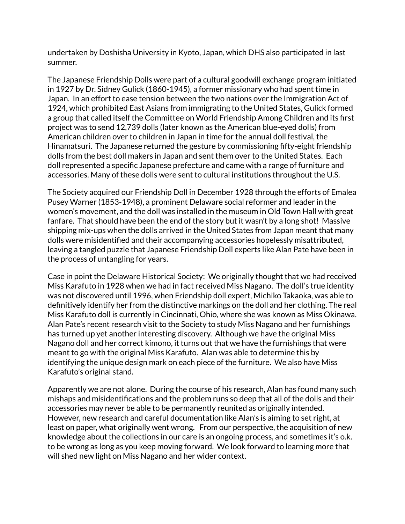undertaken by Doshisha University in Kyoto, Japan, which DHS also participated in last summer.

The Japanese Friendship Dolls were part of a cultural goodwill exchange program initiated in 1927 by Dr. Sidney Gulick (1860-1945), a former missionary who had spent time in Japan. In an effort to ease tension between the two nations over the Immigration Act of 1924, which prohibited East Asians from immigrating to the United States, Gulick formed a group that called itself the Committee on World Friendship Among Children and its first project was to send 12,739 dolls (later known as the American blue-eyed dolls) from American children over to children in Japan in time for the annual doll festival, the Hinamatsuri. The Japanese returned the gesture by commissioning fifty-eight friendship dolls from the best doll makers in Japan and sent them over to the United States. Each doll represented a specific Japanese prefecture and came with a range of furniture and accessories. Many of these dolls were sent to cultural institutions throughout the U.S.

The Society acquired our Friendship Doll in December 1928 through the efforts of Emalea Pusey Warner (1853-1948), a prominent Delaware social reformer and leader in the women's movement, and the doll was installed in the museum in Old Town Hall with great fanfare. That should have been the end of the story but it wasn't by a long shot! Massive shipping mix-ups when the dolls arrived in the United States from Japan meant that many dolls were misidentified and their accompanying accessories hopelessly misattributed, leaving a tangled puzzle that Japanese Friendship Doll experts like Alan Pate have been in the process of untangling for years.

Case in point the Delaware Historical Society: We originally thought that we had received Miss Karafuto in 1928 when we had in fact received Miss Nagano. The doll's true identity was not discovered until 1996, when Friendship doll expert, Michiko Takaoka, was able to definitively identify her from the distinctive markings on the doll and her clothing. The real Miss Karafuto doll is currently in Cincinnati, Ohio, where she was known as Miss Okinawa. Alan Pate's recent research visit to the Society to study Miss Nagano and her furnishings has turned up yet another interesting discovery. Although we have the original Miss Nagano doll and her correct kimono, it turns out that we have the furnishings that were meant to go with the original Miss Karafuto. Alan was able to determine this by identifying the unique design mark on each piece of the furniture. We also have Miss Karafuto's original stand.

Apparently we are not alone. During the course of his research, Alan has found many such mishaps and misidentifications and the problem runs so deep that all of the dolls and their accessories may never be able to be permanently reunited as originally intended. However, new research and careful documentation like Alan's is aiming to set right, at least on paper, what originally went wrong. From our perspective, the acquisition of new knowledge about the collections in our care is an ongoing process, and sometimes it's o.k. to be wrong as long as you keep moving forward. We look forward to learning more that will shed new light on Miss Nagano and her wider context.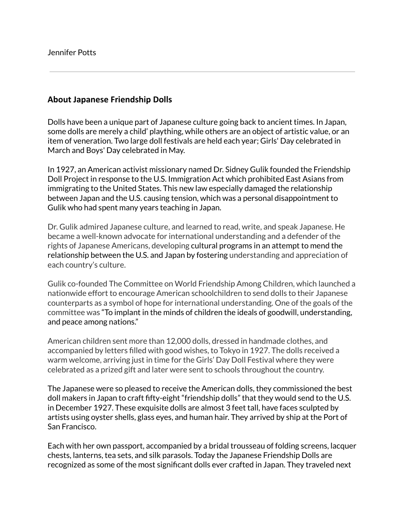#### **About Japanese Friendship Dolls**

Dolls have been a unique part of Japanese culture going back to ancient times. In Japan, some dolls are merely a child' plaything, while others are an object of artistic value, or an item of veneration. Two large doll festivals are held each year; Girls' Day celebrated in March and Boys' Day celebrated in May.

In 1927, an American activist missionary named Dr. Sidney Gulik founded the Friendship Doll Project in response to the U.S. Immigration Act which prohibited East Asians from immigrating to the United States. This new law especially damaged the relationship between Japan and the U.S. causing tension, which was a personal disappointment to Gulik who had spent many years teaching in Japan.

Dr. Gulik admired Japanese culture, and learned to read, write, and speak Japanese. He became a well-known advocate for international understanding and a defender of the rights of Japanese Americans, developing cultural programs in an attempt to mend the relationship between the U.S. and Japan by fostering understanding and appreciation of each country's culture.

Gulik co-founded The Committee on World Friendship Among Children, which launched a nationwide effort to encourage American schoolchildren to send dolls to their Japanese counterparts as a symbol of hope for international understanding. One of the goals of the committee was "To implant in the minds of children the ideals of goodwill, understanding, and peace among nations."

American children sent more than 12,000 dolls, dressed in handmade clothes, and accompanied by letters filled with good wishes, to Tokyo in 1927. The dolls received a warm welcome, arriving just in time for the Girls' Day Doll Festival where they were celebrated as a prized gift and later were sent to schools throughout the country.

The Japanese were so pleased to receive the American dolls, they commissioned the best doll makers in Japan to craft fifty-eight "friendship dolls" that they would send to the U.S. in December 1927. These exquisite dolls are almost 3 feet tall, have faces sculpted by artists using oyster shells, glass eyes, and human hair. They arrived by ship at the Port of San Francisco.

Each with her own passport, accompanied by a bridal trousseau of folding screens, lacquer chests, lanterns, tea sets, and silk parasols. Today the Japanese Friendship Dolls are recognized as some of the most significant dolls ever crafted in Japan. They traveled next